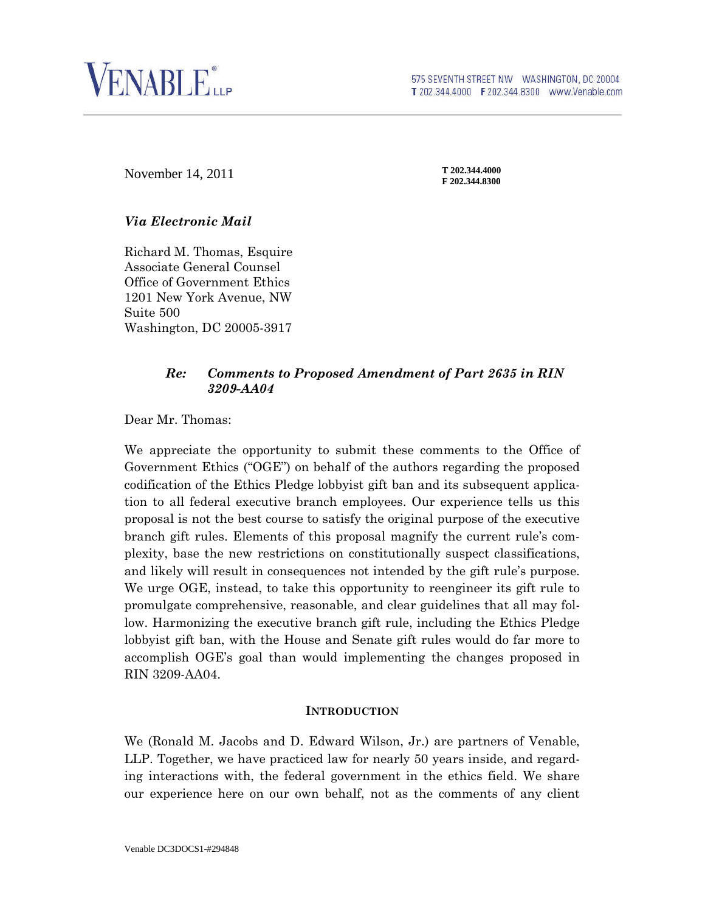

# **F** 202.344.4000<br>F 202.344.8300

**T 202.344.4000**

### *Via Electronic Mail*

Richard M. Thomas, Esquire Associate General Counsel Office of Government Ethics 1201 New York Avenue, NW Suite 500 Washington, DC 20005-3917

#### *Re: Comments to Proposed Amendment of Part 2635 in RIN 3209-AA04*

Dear Mr. Thomas:

We appreciate the opportunity to submit these comments to the Office of Government Ethics ("OGE") on behalf of the authors regarding the proposed codification of the Ethics Pledge lobbyist gift ban and its subsequent application to all federal executive branch employees. Our experience tells us this proposal is not the best course to satisfy the original purpose of the executive branch gift rules. Elements of this proposal magnify the current rule's complexity, base the new restrictions on constitutionally suspect classifications, and likely will result in consequences not intended by the gift rule's purpose. We urge OGE, instead, to take this opportunity to reengineer its gift rule to promulgate comprehensive, reasonable, and clear guidelines that all may follow. Harmonizing the executive branch gift rule, including the Ethics Pledge lobbyist gift ban, with the House and Senate gift rules would do far more to accomplish OGE's goal than would implementing the changes proposed in RIN 3209-AA04.

#### **INTRODUCTION**

We (Ronald M. Jacobs and D. Edward Wilson, Jr.) are partners of Venable, LLP. Together, we have practiced law for nearly 50 years inside, and regarding interactions with, the federal government in the ethics field. We share our experience here on our own behalf, not as the comments of any client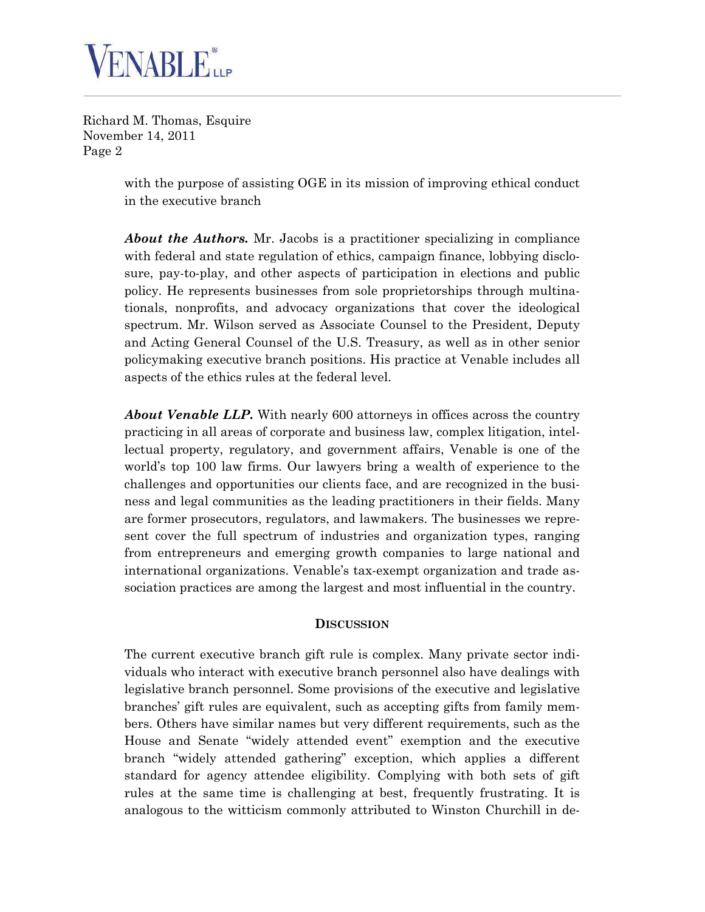

> with the purpose of assisting OGE in its mission of improving ethical conduct in the executive branch

> *About the Authors.* Mr. Jacobs is a practitioner specializing in compliance with federal and state regulation of ethics, campaign finance, lobbying disclosure, pay-to-play, and other aspects of participation in elections and public policy. He represents businesses from sole proprietorships through multinationals, nonprofits, and advocacy organizations that cover the ideological spectrum. Mr. Wilson served as Associate Counsel to the President, Deputy and Acting General Counsel of the U.S. Treasury, as well as in other senior policymaking executive branch positions. His practice at Venable includes all aspects of the ethics rules at the federal level.

> *About Venable LLP.* With nearly 600 attorneys in offices across the country practicing in all areas of corporate and business law, complex litigation, intellectual property, regulatory, and government affairs, Venable is one of the world's top 100 law firms. Our lawyers bring a wealth of experience to the challenges and opportunities our clients face, and are recognized in the business and legal communities as the leading practitioners in their fields. Many are former prosecutors, regulators, and lawmakers. The businesses we represent cover the full spectrum of industries and organization types, ranging from entrepreneurs and emerging growth companies to large national and international organizations. Venable's tax-exempt organization and trade association practices are among the largest and most influential in the country.

#### **DISCUSSION**

The current executive branch gift rule is complex. Many private sector individuals who interact with executive branch personnel also have dealings with legislative branch personnel. Some provisions of the executive and legislative branches' gift rules are equivalent, such as accepting gifts from family members. Others have similar names but very different requirements, such as the House and Senate "widely attended event" exemption and the executive branch "widely attended gathering" exception, which applies a different standard for agency attendee eligibility. Complying with both sets of gift rules at the same time is challenging at best, frequently frustrating. It is analogous to the witticism commonly attributed to Winston Churchill in de-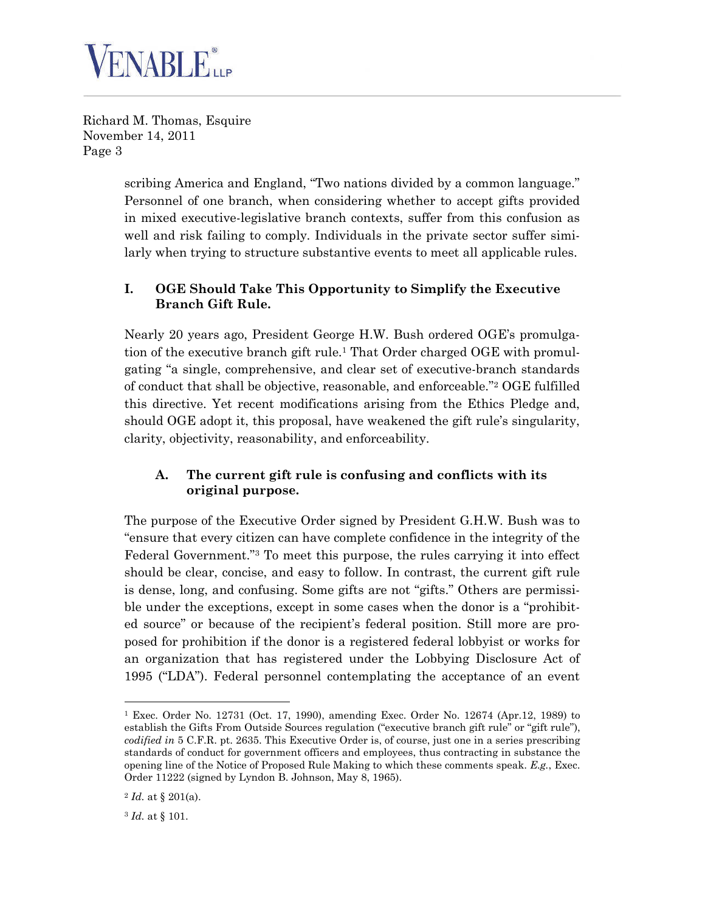

> scribing America and England, "Two nations divided by a common language." Personnel of one branch, when considering whether to accept gifts provided in mixed executive-legislative branch contexts, suffer from this confusion as well and risk failing to comply. Individuals in the private sector suffer similarly when trying to structure substantive events to meet all applicable rules.

# **I. OGE Should Take This Opportunity to Simplify the Executive Branch Gift Rule.**

Nearly 20 years ago, President George H.W. Bush ordered OGE's promulgation of the executive branch gift rule.[1](#page-2-0) That Order charged OGE with promulgating "a single, comprehensive, and clear set of executive-branch standards of conduct that shall be objective, reasonable, and enforceable."[2](#page-2-1) OGE fulfilled this directive. Yet recent modifications arising from the Ethics Pledge and, should OGE adopt it, this proposal, have weakened the gift rule's singularity, clarity, objectivity, reasonability, and enforceability.

# **A. The current gift rule is confusing and conflicts with its original purpose.**

The purpose of the Executive Order signed by President G.H.W. Bush was to "ensure that every citizen can have complete confidence in the integrity of the Federal Government."[3](#page-2-2) To meet this purpose, the rules carrying it into effect should be clear, concise, and easy to follow. In contrast, the current gift rule is dense, long, and confusing. Some gifts are not "gifts." Others are permissible under the exceptions, except in some cases when the donor is a "prohibited source" or because of the recipient's federal position. Still more are proposed for prohibition if the donor is a registered federal lobbyist or works for an organization that has registered under the Lobbying Disclosure Act of 1995 ("LDA"). Federal personnel contemplating the acceptance of an event

<span id="page-2-0"></span><sup>1</sup> Exec. Order No. 12731 (Oct. 17, 1990), amending Exec. Order No. 12674 (Apr.12, 1989) to establish the Gifts From Outside Sources regulation ("executive branch gift rule" or "gift rule"), *codified in* 5 C.F.R. pt. 2635. This Executive Order is, of course, just one in a series prescribing standards of conduct for government officers and employees, thus contracting in substance the opening line of the Notice of Proposed Rule Making to which these comments speak. *E.g.*, Exec. Order 11222 (signed by Lyndon B. Johnson, May 8, 1965).

<span id="page-2-1"></span><sup>2</sup> *Id.* at § 201(a).

<span id="page-2-2"></span><sup>3</sup> *Id.* at § 101.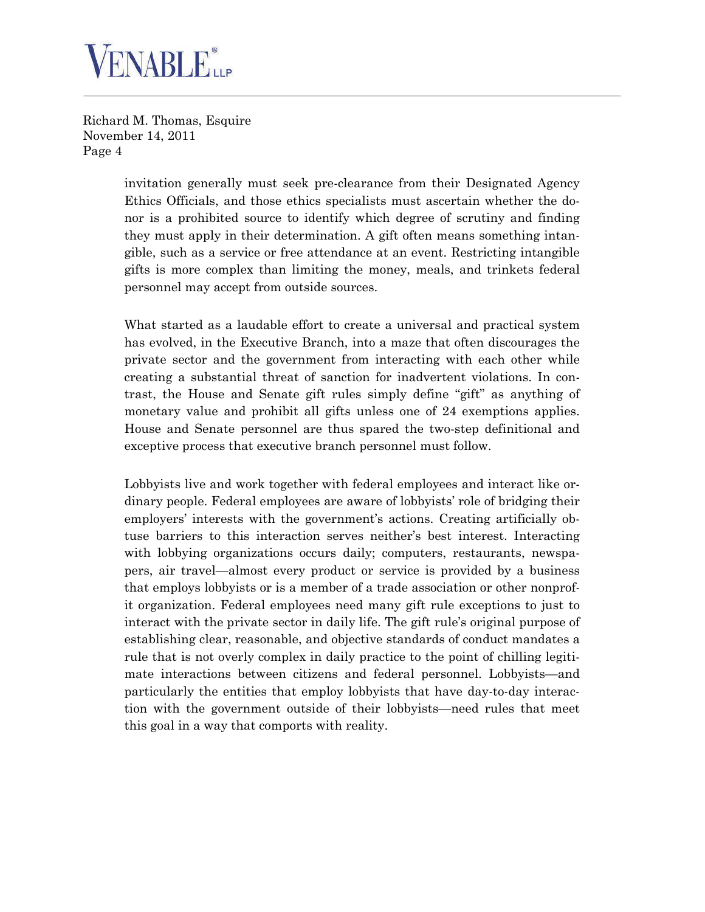

> invitation generally must seek pre-clearance from their Designated Agency Ethics Officials, and those ethics specialists must ascertain whether the donor is a prohibited source to identify which degree of scrutiny and finding they must apply in their determination. A gift often means something intangible, such as a service or free attendance at an event. Restricting intangible gifts is more complex than limiting the money, meals, and trinkets federal personnel may accept from outside sources.

> What started as a laudable effort to create a universal and practical system has evolved, in the Executive Branch, into a maze that often discourages the private sector and the government from interacting with each other while creating a substantial threat of sanction for inadvertent violations. In contrast, the House and Senate gift rules simply define "gift" as anything of monetary value and prohibit all gifts unless one of 24 exemptions applies. House and Senate personnel are thus spared the two-step definitional and exceptive process that executive branch personnel must follow.

> Lobbyists live and work together with federal employees and interact like ordinary people. Federal employees are aware of lobbyists' role of bridging their employers' interests with the government's actions. Creating artificially obtuse barriers to this interaction serves neither's best interest. Interacting with lobbying organizations occurs daily; computers, restaurants, newspapers, air travel—almost every product or service is provided by a business that employs lobbyists or is a member of a trade association or other nonprofit organization. Federal employees need many gift rule exceptions to just to interact with the private sector in daily life. The gift rule's original purpose of establishing clear, reasonable, and objective standards of conduct mandates a rule that is not overly complex in daily practice to the point of chilling legitimate interactions between citizens and federal personnel. Lobbyists—and particularly the entities that employ lobbyists that have day-to-day interaction with the government outside of their lobbyists—need rules that meet this goal in a way that comports with reality.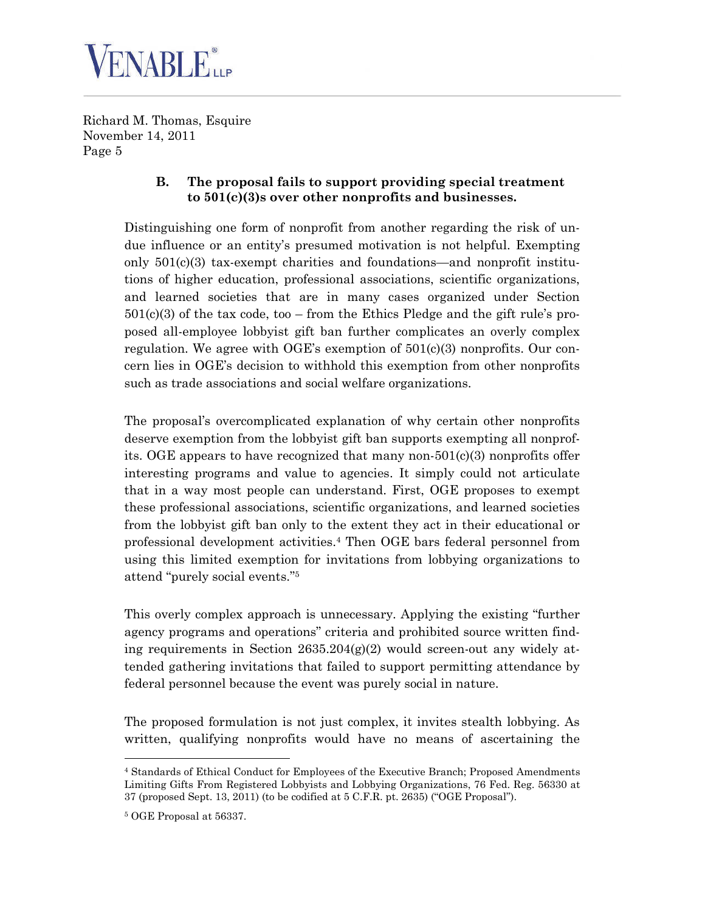

#### **B. The proposal fails to support providing special treatment to 501(c)(3)s over other nonprofits and businesses.**

Distinguishing one form of nonprofit from another regarding the risk of undue influence or an entity's presumed motivation is not helpful. Exempting only 501(c)(3) tax-exempt charities and foundations—and nonprofit institutions of higher education, professional associations, scientific organizations, and learned societies that are in many cases organized under Section  $501(c)(3)$  of the tax code, too – from the Ethics Pledge and the gift rule's proposed all-employee lobbyist gift ban further complicates an overly complex regulation. We agree with OGE's exemption of  $501(c)(3)$  nonprofits. Our concern lies in OGE's decision to withhold this exemption from other nonprofits such as trade associations and social welfare organizations.

The proposal's overcomplicated explanation of why certain other nonprofits deserve exemption from the lobbyist gift ban supports exempting all nonprofits. OGE appears to have recognized that many non- $501(c)(3)$  nonprofits offer interesting programs and value to agencies. It simply could not articulate that in a way most people can understand. First, OGE proposes to exempt these professional associations, scientific organizations, and learned societies from the lobbyist gift ban only to the extent they act in their educational or professional development activities.[4](#page-4-0) Then OGE bars federal personnel from using this limited exemption for invitations from lobbying organizations to attend "purely social events."[5](#page-4-1)

This overly complex approach is unnecessary. Applying the existing "further agency programs and operations" criteria and prohibited source written finding requirements in Section  $2635.204(g)(2)$  would screen-out any widely attended gathering invitations that failed to support permitting attendance by federal personnel because the event was purely social in nature.

The proposed formulation is not just complex, it invites stealth lobbying. As written, qualifying nonprofits would have no means of ascertaining the

<span id="page-4-0"></span><sup>4</sup> Standards of Ethical Conduct for Employees of the Executive Branch; Proposed Amendments Limiting Gifts From Registered Lobbyists and Lobbying Organizations, 76 Fed. Reg. 56330 at 37 (proposed Sept. 13, 2011) (to be codified at 5 C.F.R. pt. 2635) ("OGE Proposal").

<span id="page-4-1"></span><sup>5</sup> OGE Proposal at 56337.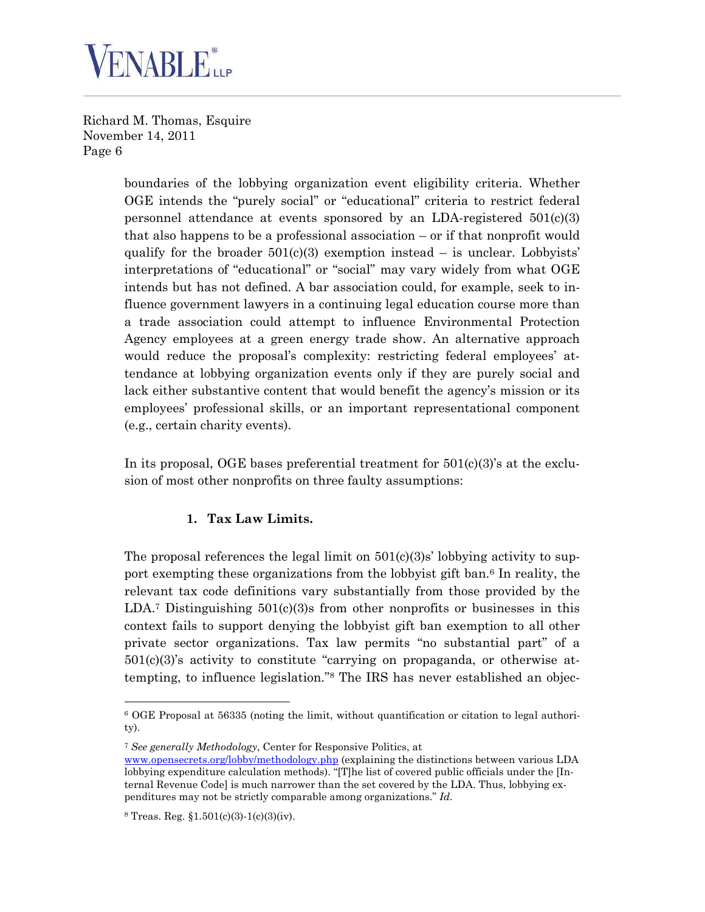

> boundaries of the lobbying organization event eligibility criteria. Whether OGE intends the "purely social" or "educational" criteria to restrict federal personnel attendance at events sponsored by an LDA-registered 501(c)(3) that also happens to be a professional association – or if that nonprofit would qualify for the broader  $501(c)(3)$  exemption instead – is unclear. Lobbyists' interpretations of "educational" or "social" may vary widely from what OGE intends but has not defined. A bar association could, for example, seek to influence government lawyers in a continuing legal education course more than a trade association could attempt to influence Environmental Protection Agency employees at a green energy trade show. An alternative approach would reduce the proposal's complexity: restricting federal employees' attendance at lobbying organization events only if they are purely social and lack either substantive content that would benefit the agency's mission or its employees' professional skills, or an important representational component (e.g., certain charity events).

> In its proposal, OGE bases preferential treatment for  $501(c)(3)$ 's at the exclusion of most other nonprofits on three faulty assumptions:

#### **1. Tax Law Limits.**

The proposal references the legal limit on  $501(c)(3)s'$  lobbying activity to support exempting these organizations from the lobbyist gift ban.[6](#page-5-0) In reality, the relevant tax code definitions vary substantially from those provided by the  $LDA$ .<sup>[7](#page-5-1)</sup> Distinguishing  $501(c)(3)$ s from other nonprofits or businesses in this context fails to support denying the lobbyist gift ban exemption to all other private sector organizations. Tax law permits "no substantial part" of a  $501(c)(3)$ 's activity to constitute "carrying on propaganda, or otherwise attempting, to influence legislation."[8](#page-5-2) The IRS has never established an objec-

<span id="page-5-1"></span><sup>7</sup> *See generally Methodology*, Center for Responsive Politics, at

<span id="page-5-0"></span><sup>6</sup> OGE Proposal at 56335 (noting the limit, without quantification or citation to legal authority).

www.opensecrets.org/lobby/methodology.php (explaining the distinctions between various LDA lobbying expenditure calculation methods). "[T]he list of covered public officials under the [Internal Revenue Code] is much narrower than the set covered by the LDA. Thus, lobbying expenditures may not be strictly comparable among organizations." *Id.*

<span id="page-5-2"></span> $8$  Treas. Reg.  $$1.501(c)(3)-1(c)(3)(iv)$ .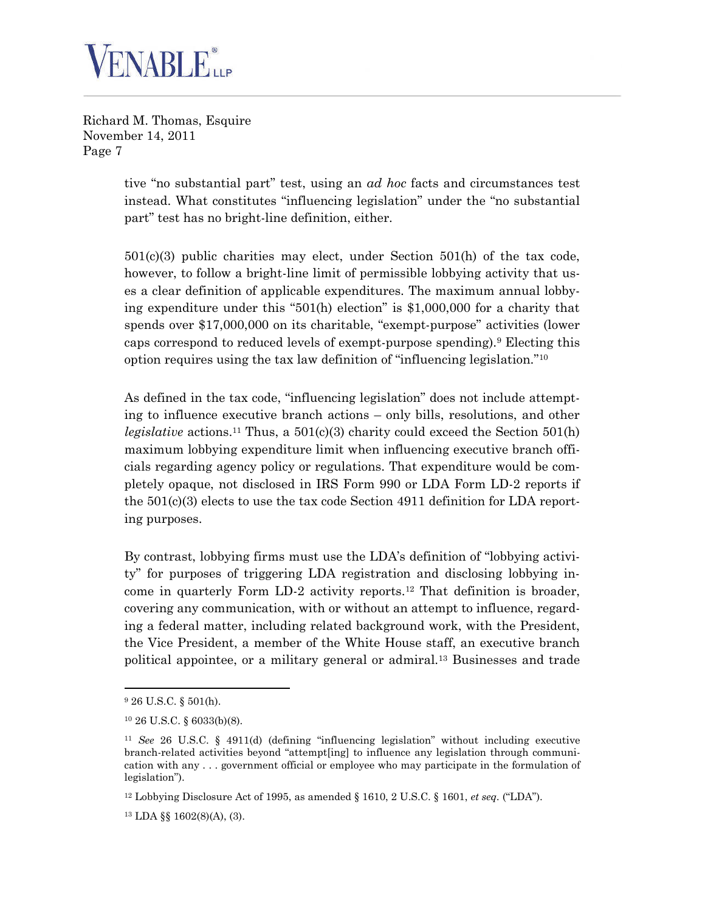

> tive "no substantial part" test, using an *ad hoc* facts and circumstances test instead. What constitutes "influencing legislation" under the "no substantial part" test has no bright-line definition, either.

> $501(c)(3)$  public charities may elect, under Section  $501(h)$  of the tax code, however, to follow a bright-line limit of permissible lobbying activity that uses a clear definition of applicable expenditures. The maximum annual lobbying expenditure under this "501(h) election" is \$1,000,000 for a charity that spends over \$17,000,000 on its charitable, "exempt-purpose" activities (lower caps correspond to reduced levels of exempt-purpose spending).[9](#page-6-0) Electing this option requires using the tax law definition of "influencing legislation."[10](#page-6-1)

> As defined in the tax code, "influencing legislation" does not include attempting to influence executive branch actions – only bills, resolutions, and other *legislative* actions.<sup>[11](#page-6-2)</sup> Thus, a  $501(c)(3)$  charity could exceed the Section  $501(h)$ maximum lobbying expenditure limit when influencing executive branch officials regarding agency policy or regulations. That expenditure would be completely opaque, not disclosed in IRS Form 990 or LDA Form LD-2 reports if the 501(c)(3) elects to use the tax code Section 4911 definition for LDA reporting purposes.

> By contrast, lobbying firms must use the LDA's definition of "lobbying activity" for purposes of triggering LDA registration and disclosing lobbying income in quarterly Form LD-2 activity reports.[12](#page-6-3) That definition is broader, covering any communication, with or without an attempt to influence, regarding a federal matter, including related background work, with the President, the Vice President, a member of the White House staff, an executive branch political appointee, or a military general or admiral.[13](#page-6-4) Businesses and trade

<span id="page-6-0"></span><sup>9</sup> 26 U.S.C. § 501(h).

<span id="page-6-1"></span><sup>10</sup> 26 U.S.C. § 6033(b)(8).

<span id="page-6-2"></span><sup>11</sup> *See* 26 U.S.C. § 4911(d) (defining "influencing legislation" without including executive branch-related activities beyond "attempt[ing] to influence any legislation through communication with any . . . government official or employee who may participate in the formulation of legislation").

<span id="page-6-3"></span><sup>12</sup> Lobbying Disclosure Act of 1995, as amended § 1610, 2 U.S.C. § 1601, *et seq.* ("LDA").

<span id="page-6-4"></span><sup>13</sup> LDA §§ 1602(8)(A), (3).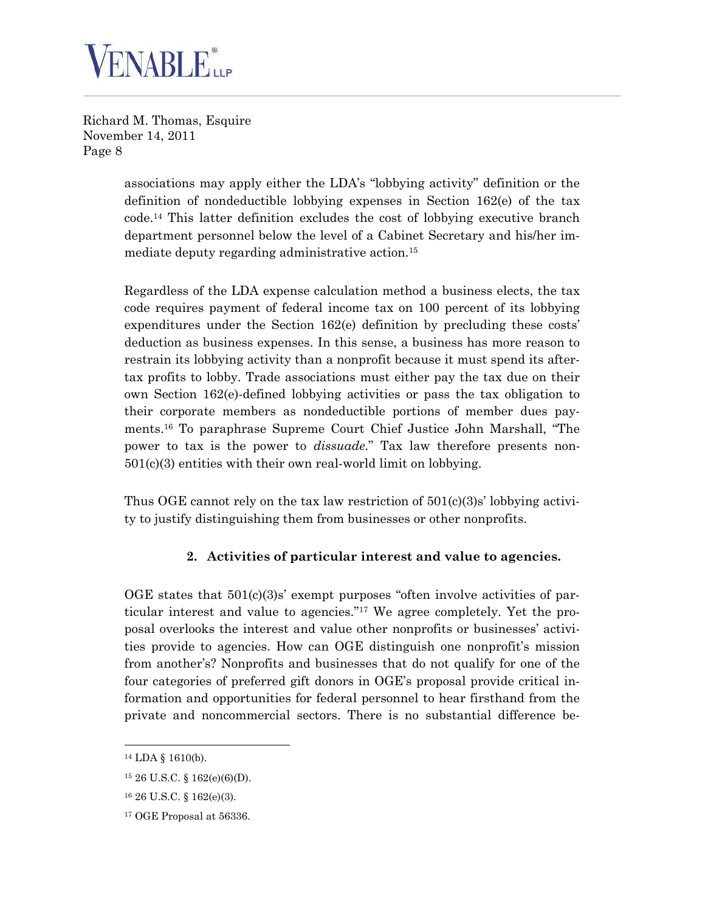

> associations may apply either the LDA's "lobbying activity" definition or the definition of nondeductible lobbying expenses in Section 162(e) of the tax code.[14](#page-7-0) This latter definition excludes the cost of lobbying executive branch department personnel below the level of a Cabinet Secretary and his/her immediate deputy regarding administrative action.[15](#page-7-1)

> Regardless of the LDA expense calculation method a business elects, the tax code requires payment of federal income tax on 100 percent of its lobbying expenditures under the Section 162(e) definition by precluding these costs' deduction as business expenses. In this sense, a business has more reason to restrain its lobbying activity than a nonprofit because it must spend its aftertax profits to lobby. Trade associations must either pay the tax due on their own Section 162(e)-defined lobbying activities or pass the tax obligation to their corporate members as nondeductible portions of member dues payments.[16](#page-7-2) To paraphrase Supreme Court Chief Justice John Marshall, "The power to tax is the power to *dissuade*." Tax law therefore presents non-501(c)(3) entities with their own real-world limit on lobbying.

> Thus OGE cannot rely on the tax law restriction of  $501(c)(3)s'$  lobbying activity to justify distinguishing them from businesses or other nonprofits.

#### **2. Activities of particular interest and value to agencies.**

OGE states that  $501(c)(3)s'$  exempt purposes "often involve activities of particular interest and value to agencies."[17](#page-7-3) We agree completely. Yet the proposal overlooks the interest and value other nonprofits or businesses' activities provide to agencies. How can OGE distinguish one nonprofit's mission from another's? Nonprofits and businesses that do not qualify for one of the four categories of preferred gift donors in OGE's proposal provide critical information and opportunities for federal personnel to hear firsthand from the private and noncommercial sectors. There is no substantial difference be-

<span id="page-7-0"></span><sup>14</sup> LDA § 1610(b).

<span id="page-7-1"></span><sup>15</sup> 26 U.S.C. § 162(e)(6)(D).

<span id="page-7-2"></span><sup>16</sup> 26 U.S.C. § 162(e)(3).

<span id="page-7-3"></span><sup>17</sup> OGE Proposal at 56336.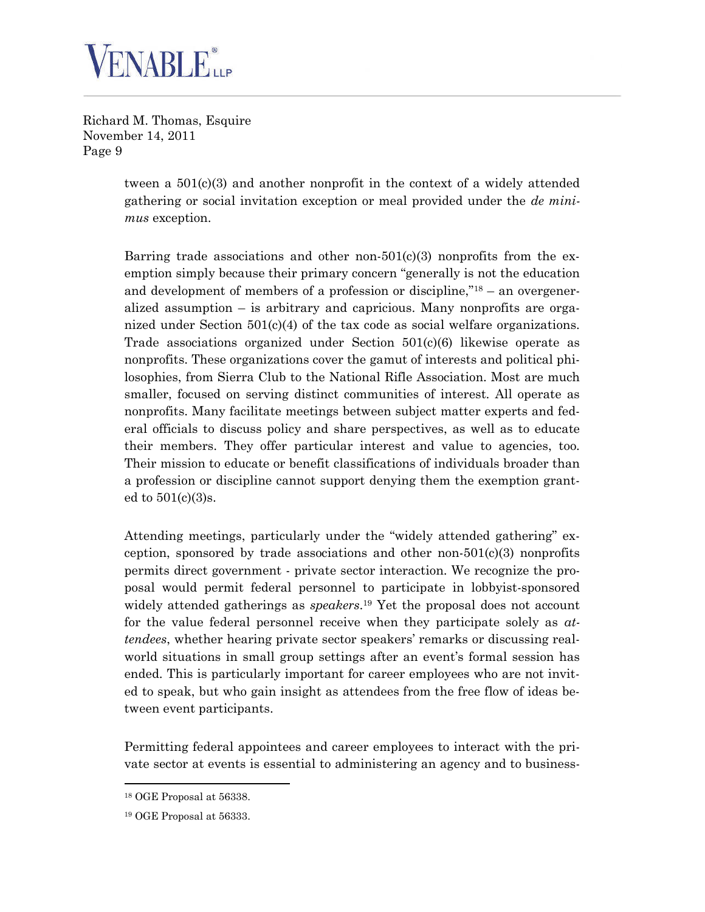

> tween a  $501(c)(3)$  and another nonprofit in the context of a widely attended gathering or social invitation exception or meal provided under the *de minimus* exception.

> Barring trade associations and other non- $501(c)(3)$  nonprofits from the exemption simply because their primary concern "generally is not the education and development of members of a profession or discipline," $18 18 -$ an overgeneralized assumption – is arbitrary and capricious. Many nonprofits are organized under Section 501(c)(4) of the tax code as social welfare organizations. Trade associations organized under Section 501(c)(6) likewise operate as nonprofits. These organizations cover the gamut of interests and political philosophies, from Sierra Club to the National Rifle Association. Most are much smaller, focused on serving distinct communities of interest. All operate as nonprofits. Many facilitate meetings between subject matter experts and federal officials to discuss policy and share perspectives, as well as to educate their members. They offer particular interest and value to agencies, too. Their mission to educate or benefit classifications of individuals broader than a profession or discipline cannot support denying them the exemption granted to 501(c)(3)s.

> Attending meetings, particularly under the "widely attended gathering" exception, sponsored by trade associations and other non- $501(c)(3)$  nonprofits permits direct government - private sector interaction. We recognize the proposal would permit federal personnel to participate in lobbyist-sponsored widely attended gatherings as *speakers*. [19](#page-8-1) Yet the proposal does not account for the value federal personnel receive when they participate solely as *attendees*, whether hearing private sector speakers' remarks or discussing realworld situations in small group settings after an event's formal session has ended. This is particularly important for career employees who are not invited to speak, but who gain insight as attendees from the free flow of ideas between event participants.

> Permitting federal appointees and career employees to interact with the private sector at events is essential to administering an agency and to business-

<span id="page-8-0"></span><sup>18</sup> OGE Proposal at 56338.

<span id="page-8-1"></span><sup>19</sup> OGE Proposal at 56333.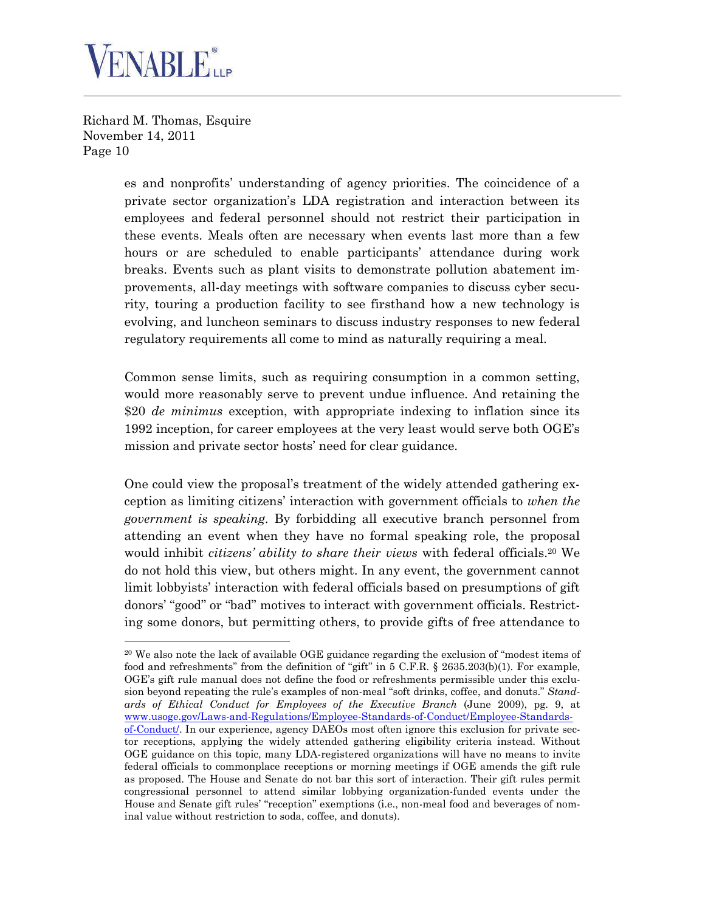

> es and nonprofits' understanding of agency priorities. The coincidence of a private sector organization's LDA registration and interaction between its employees and federal personnel should not restrict their participation in these events. Meals often are necessary when events last more than a few hours or are scheduled to enable participants' attendance during work breaks. Events such as plant visits to demonstrate pollution abatement improvements, all-day meetings with software companies to discuss cyber security, touring a production facility to see firsthand how a new technology is evolving, and luncheon seminars to discuss industry responses to new federal regulatory requirements all come to mind as naturally requiring a meal.

> Common sense limits, such as requiring consumption in a common setting, would more reasonably serve to prevent undue influence. And retaining the \$20 *de minimus* exception, with appropriate indexing to inflation since its 1992 inception, for career employees at the very least would serve both OGE's mission and private sector hosts' need for clear guidance.

> One could view the proposal's treatment of the widely attended gathering exception as limiting citizens' interaction with government officials to *when the government is speaking*. By forbidding all executive branch personnel from attending an event when they have no formal speaking role, the proposal would inhibit *citizens' ability to share their views* with federal officials.<sup>[20](#page-9-0)</sup> We do not hold this view, but others might. In any event, the government cannot limit lobbyists' interaction with federal officials based on presumptions of gift donors' "good" or "bad" motives to interact with government officials. Restricting some donors, but permitting others, to provide gifts of free attendance to

<span id="page-9-0"></span><sup>&</sup>lt;sup>20</sup> We also note the lack of available OGE guidance regarding the exclusion of "modest items of food and refreshments" from the definition of "gift" in 5 C.F.R. § 2635.203(b)(1). For example, OGE's gift rule manual does not define the food or refreshments permissible under this exclusion beyond repeating the rule's examples of non-meal "soft drinks, coffee, and donuts." *Standards of Ethical Conduct for Employees of the Executive Branch* (June 2009), pg. 9, at www.usoge.gov/Laws-and-Regulations/Employee-Standards-of-Conduct/Employee-Standardsof-Conduct/. In our experience, agency DAEOs most often ignore this exclusion for private sector receptions, applying the widely attended gathering eligibility criteria instead. Without OGE guidance on this topic, many LDA-registered organizations will have no means to invite federal officials to commonplace receptions or morning meetings if OGE amends the gift rule as proposed. The House and Senate do not bar this sort of interaction. Their gift rules permit congressional personnel to attend similar lobbying organization-funded events under the House and Senate gift rules' "reception" exemptions (i.e., non-meal food and beverages of nominal value without restriction to soda, coffee, and donuts).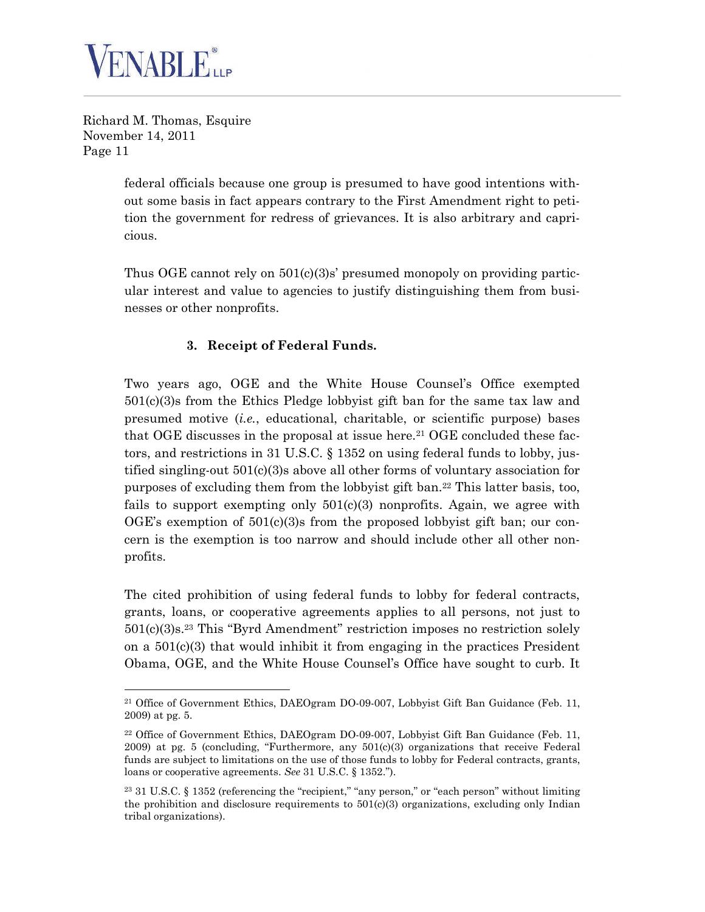

> federal officials because one group is presumed to have good intentions without some basis in fact appears contrary to the First Amendment right to petition the government for redress of grievances. It is also arbitrary and capricious.

> Thus OGE cannot rely on  $501(c)(3)s'$  presumed monopoly on providing particular interest and value to agencies to justify distinguishing them from businesses or other nonprofits.

# **3. Receipt of Federal Funds.**

Two years ago, OGE and the White House Counsel's Office exempted 501(c)(3)s from the Ethics Pledge lobbyist gift ban for the same tax law and presumed motive (*i.e.*, educational, charitable, or scientific purpose) bases that OGE discusses in the proposal at issue here.<sup>[21](#page-10-0)</sup> OGE concluded these factors, and restrictions in 31 U.S.C. § 1352 on using federal funds to lobby, justified singling-out  $501(c)(3)$  above all other forms of voluntary association for purposes of excluding them from the lobbyist gift ban.[22](#page-10-1) This latter basis, too, fails to support exempting only  $501(c)(3)$  nonprofits. Again, we agree with OGE's exemption of  $501(c)(3)$ s from the proposed lobbyist gift ban; our concern is the exemption is too narrow and should include other all other nonprofits.

The cited prohibition of using federal funds to lobby for federal contracts, grants, loans, or cooperative agreements applies to all persons, not just to 501(c)(3)s.[23](#page-10-2) This "Byrd Amendment" restriction imposes no restriction solely on a 501(c)(3) that would inhibit it from engaging in the practices President Obama, OGE, and the White House Counsel's Office have sought to curb. It

<span id="page-10-0"></span><sup>21</sup> Office of Government Ethics, DAEOgram DO-09-007, Lobbyist Gift Ban Guidance (Feb. 11, 2009) at pg. 5.

<span id="page-10-1"></span><sup>22</sup> Office of Government Ethics, DAEOgram DO-09-007, Lobbyist Gift Ban Guidance (Feb. 11,  $2009$ ) at pg. 5 (concluding, "Furthermore, any  $501(c)(3)$  organizations that receive Federal funds are subject to limitations on the use of those funds to lobby for Federal contracts, grants, loans or cooperative agreements. *See* 31 U.S.C. § 1352.").

<span id="page-10-2"></span><sup>23</sup> 31 U.S.C. § 1352 (referencing the "recipient," "any person," or "each person" without limiting the prohibition and disclosure requirements to  $501(c)(3)$  organizations, excluding only Indian tribal organizations).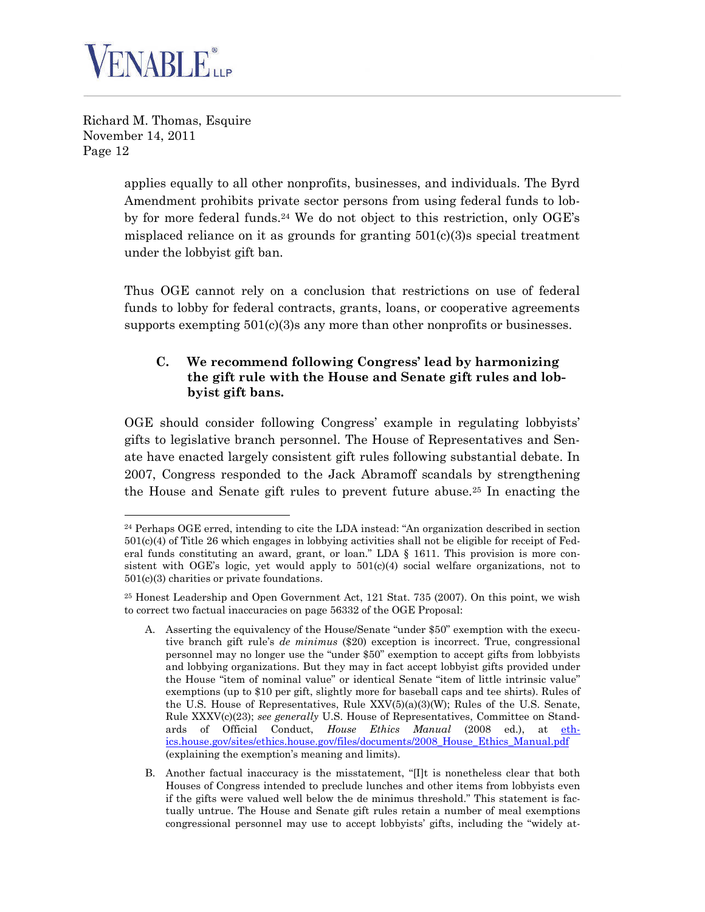

> applies equally to all other nonprofits, businesses, and individuals. The Byrd Amendment prohibits private sector persons from using federal funds to lob-by for more federal funds.<sup>[24](#page-11-0)</sup> We do not object to this restriction, only  $OGE$ 's misplaced reliance on it as grounds for granting  $501(c)(3)$ s special treatment under the lobbyist gift ban.

> Thus OGE cannot rely on a conclusion that restrictions on use of federal funds to lobby for federal contracts, grants, loans, or cooperative agreements supports exempting  $501(c)(3)$ s any more than other nonprofits or businesses.

#### **C. We recommend following Congress' lead by harmonizing the gift rule with the House and Senate gift rules and lobbyist gift bans.**

OGE should consider following Congress' example in regulating lobbyists' gifts to legislative branch personnel. The House of Representatives and Senate have enacted largely consistent gift rules following substantial debate. In 2007, Congress responded to the Jack Abramoff scandals by strengthening the House and Senate gift rules to prevent future abuse.[25](#page-11-1) In enacting the

<span id="page-11-0"></span> $24$  Perhaps OGE erred, intending to cite the LDA instead: "An organization described in section 501(c)(4) of Title 26 which engages in lobbying activities shall not be eligible for receipt of Federal funds constituting an award, grant, or loan." LDA  $\S$  1611. This provision is more consistent with OGE's logic, yet would apply to  $501(c)(4)$  social welfare organizations, not to 501(c)(3) charities or private foundations.

<span id="page-11-1"></span><sup>25</sup> Honest Leadership and Open Government Act, 121 Stat. 735 (2007). On this point, we wish to correct two factual inaccuracies on page 56332 of the OGE Proposal:

A. Asserting the equivalency of the House/Senate "under \$50" exemption with the executive branch gift rule's *de minimus* (\$20) exception is incorrect. True, congressional personnel may no longer use the "under \$50" exemption to accept gifts from lobbyists and lobbying organizations. But they may in fact accept lobbyist gifts provided under the House "item of nominal value" or identical Senate "item of little intrinsic value" exemptions (up to \$10 per gift, slightly more for baseball caps and tee shirts). Rules of the U.S. House of Representatives, Rule  $XXV(5)(a)(3)(W)$ ; Rules of the U.S. Senate, Rule XXXV(c)(23); *see generally* U.S. House of Representatives, Committee on Standards of Official Conduct, *House Ethics Manual* (2008 ed.), at ethics.house.gov/sites/ethics.house.gov/files/documents/2008\_House\_Ethics\_Manual.pdf (explaining the exemption's meaning and limits).

B. Another factual inaccuracy is the misstatement, "[I]t is nonetheless clear that both Houses of Congress intended to preclude lunches and other items from lobbyists even if the gifts were valued well below the de minimus threshold." This statement is factually untrue. The House and Senate gift rules retain a number of meal exemptions congressional personnel may use to accept lobbyists' gifts, including the "widely at-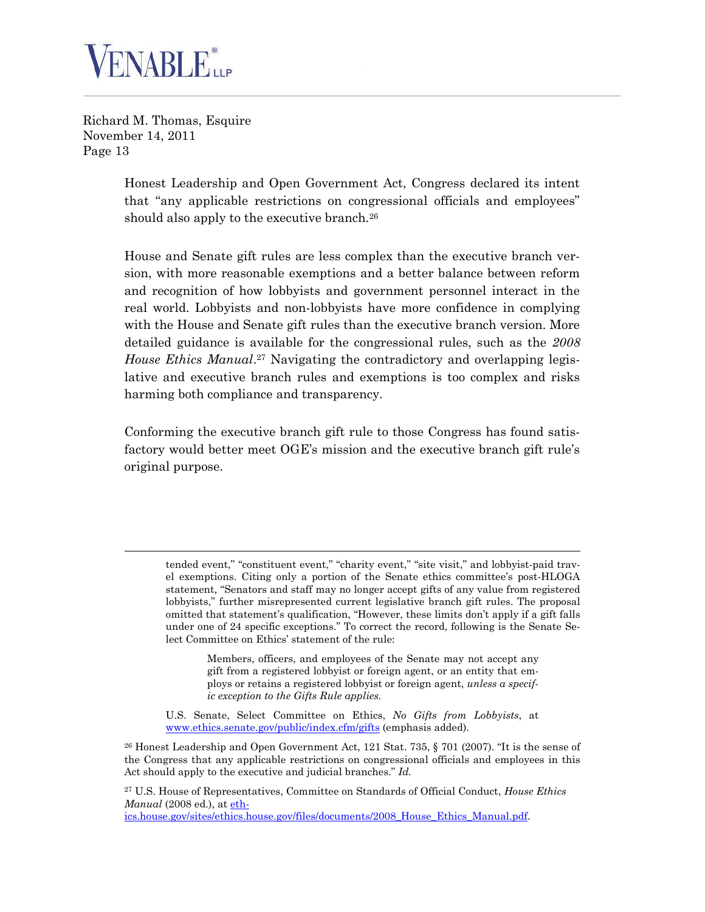

> Honest Leadership and Open Government Act, Congress declared its intent that "any applicable restrictions on congressional officials and employees" should also apply to the executive branch.<sup>[26](#page-12-0)</sup>

> House and Senate gift rules are less complex than the executive branch version, with more reasonable exemptions and a better balance between reform and recognition of how lobbyists and government personnel interact in the real world. Lobbyists and non-lobbyists have more confidence in complying with the House and Senate gift rules than the executive branch version. More detailed guidance is available for the congressional rules, such as the *2008 House Ethics Manual*. [27](#page-12-1) Navigating the contradictory and overlapping legislative and executive branch rules and exemptions is too complex and risks harming both compliance and transparency.

> Conforming the executive branch gift rule to those Congress has found satisfactory would better meet OGE's mission and the executive branch gift rule's original purpose.

Members, officers, and employees of the Senate may not accept any gift from a registered lobbyist or foreign agent, or an entity that employs or retains a registered lobbyist or foreign agent, *unless a specific exception to the Gifts Rule applies.*

U.S. Senate, Select Committee on Ethics, *No Gifts from Lobbyists*, at www.ethics.senate.gov/public/index.cfm/gifts (emphasis added).

<span id="page-12-0"></span> $26$  Honest Leadership and Open Government Act, 121 Stat. 735, § 701 (2007). "It is the sense of the Congress that any applicable restrictions on congressional officials and employees in this Act should apply to the executive and judicial branches." *Id.*

<span id="page-12-1"></span><sup>27</sup> U.S. House of Representatives, Committee on Standards of Official Conduct, *House Ethics Manual* (2008 ed.), at eth-

ics.house.gov/sites/ethics.house.gov/files/documents/2008\_House\_Ethics\_Manual.pdf.

tended event," "constituent event," "charity event," "site visit," and lobbyist-paid travel exemptions. Citing only a portion of the Senate ethics committee's post-HLOGA statement, "Senators and staff may no longer accept gifts of any value from registered lobbyists," further misrepresented current legislative branch gift rules. The proposal omitted that statement's qualification, "However, these limits don't apply if a gift falls under one of 24 specific exceptions." To correct the record, following is the Senate Select Committee on Ethics' statement of the rule: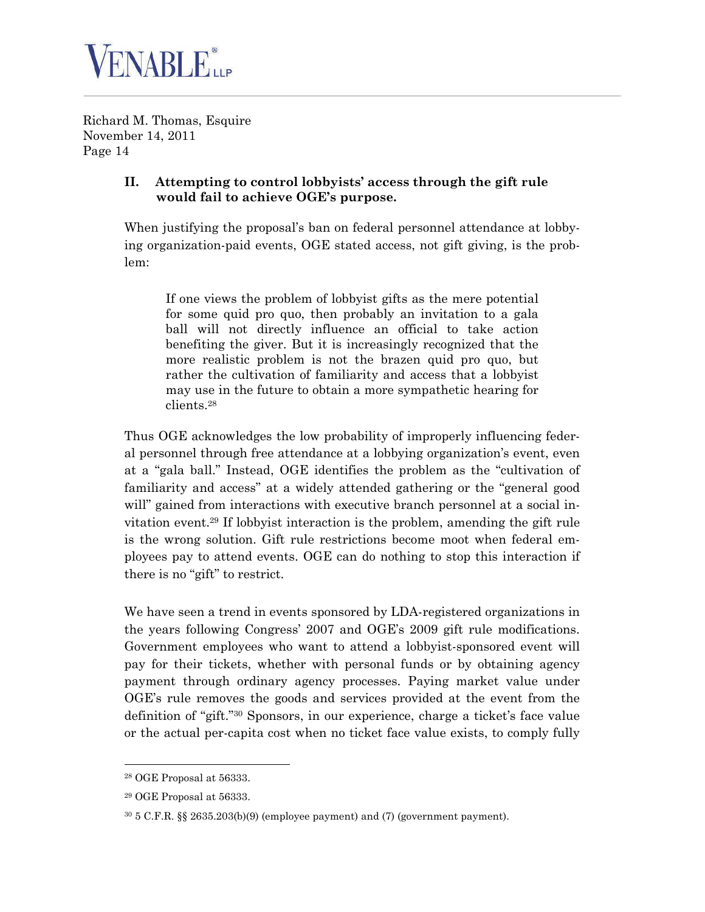

### **II. Attempting to control lobbyists' access through the gift rule would fail to achieve OGE's purpose.**

When justifying the proposal's ban on federal personnel attendance at lobbying organization-paid events, OGE stated access, not gift giving, is the problem:

If one views the problem of lobbyist gifts as the mere potential for some quid pro quo, then probably an invitation to a gala ball will not directly influence an official to take action benefiting the giver. But it is increasingly recognized that the more realistic problem is not the brazen quid pro quo, but rather the cultivation of familiarity and access that a lobbyist may use in the future to obtain a more sympathetic hearing for clients.[28](#page-13-0)

Thus OGE acknowledges the low probability of improperly influencing federal personnel through free attendance at a lobbying organization's event, even at a "gala ball." Instead, OGE identifies the problem as the "cultivation of familiarity and access" at a widely attended gathering or the "general good will" gained from interactions with executive branch personnel at a social invitation event.[29](#page-13-1) If lobbyist interaction is the problem, amending the gift rule is the wrong solution. Gift rule restrictions become moot when federal employees pay to attend events. OGE can do nothing to stop this interaction if there is no "gift" to restrict.

We have seen a trend in events sponsored by LDA-registered organizations in the years following Congress' 2007 and OGE's 2009 gift rule modifications. Government employees who want to attend a lobbyist-sponsored event will pay for their tickets, whether with personal funds or by obtaining agency payment through ordinary agency processes. Paying market value under OGE's rule removes the goods and services provided at the event from the definition of "gift."[30](#page-13-2) Sponsors, in our experience, charge a ticket's face value or the actual per-capita cost when no ticket face value exists, to comply fully

<span id="page-13-0"></span><sup>28</sup> OGE Proposal at 56333.

<span id="page-13-1"></span><sup>29</sup> OGE Proposal at 56333.

<span id="page-13-2"></span> $30\,5$  C.F.R. §§ 2635.203(b)(9) (employee payment) and (7) (government payment).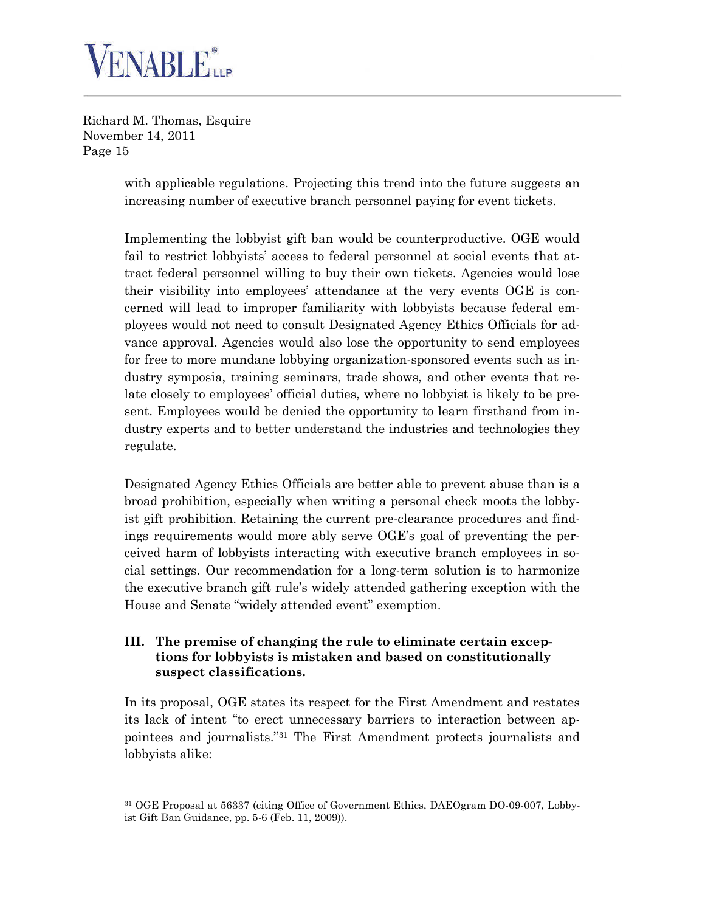

> with applicable regulations. Projecting this trend into the future suggests an increasing number of executive branch personnel paying for event tickets.

> Implementing the lobbyist gift ban would be counterproductive. OGE would fail to restrict lobbyists' access to federal personnel at social events that attract federal personnel willing to buy their own tickets. Agencies would lose their visibility into employees' attendance at the very events OGE is concerned will lead to improper familiarity with lobbyists because federal employees would not need to consult Designated Agency Ethics Officials for advance approval. Agencies would also lose the opportunity to send employees for free to more mundane lobbying organization-sponsored events such as industry symposia, training seminars, trade shows, and other events that relate closely to employees' official duties, where no lobbyist is likely to be present. Employees would be denied the opportunity to learn firsthand from industry experts and to better understand the industries and technologies they regulate.

> Designated Agency Ethics Officials are better able to prevent abuse than is a broad prohibition, especially when writing a personal check moots the lobbyist gift prohibition. Retaining the current pre-clearance procedures and findings requirements would more ably serve OGE's goal of preventing the perceived harm of lobbyists interacting with executive branch employees in social settings. Our recommendation for a long-term solution is to harmonize the executive branch gift rule's widely attended gathering exception with the House and Senate "widely attended event" exemption.

#### **III. The premise of changing the rule to eliminate certain exceptions for lobbyists is mistaken and based on constitutionally suspect classifications.**

In its proposal, OGE states its respect for the First Amendment and restates its lack of intent "to erect unnecessary barriers to interaction between appointees and journalists."[31](#page-14-0) The First Amendment protects journalists and lobbyists alike:

<span id="page-14-0"></span><sup>31</sup> OGE Proposal at 56337 (citing Office of Government Ethics, DAEOgram DO-09-007, Lobbyist Gift Ban Guidance, pp. 5-6 (Feb. 11, 2009)).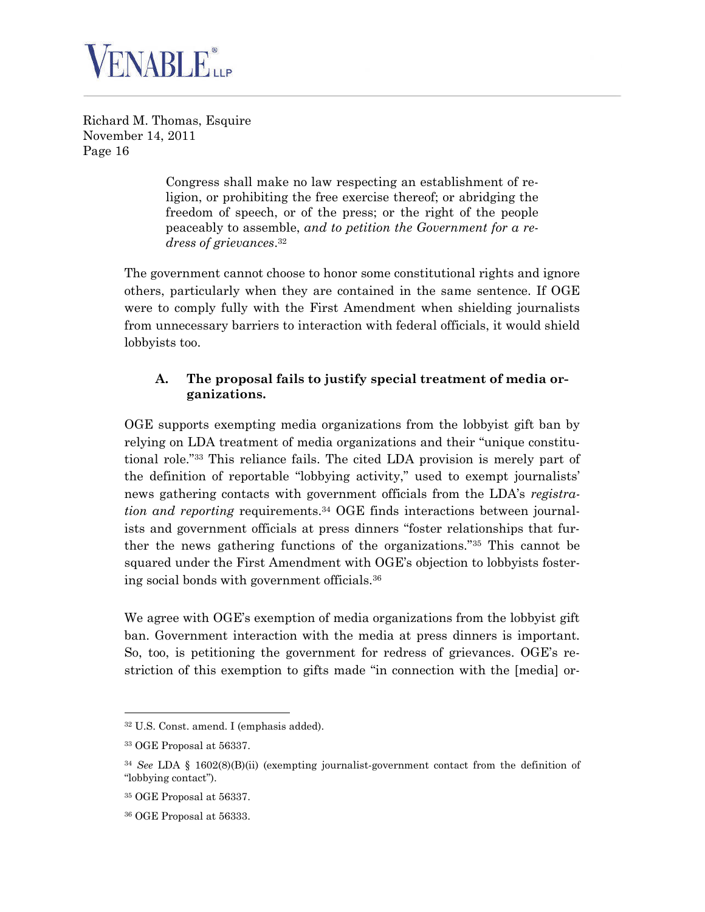

> Congress shall make no law respecting an establishment of religion, or prohibiting the free exercise thereof; or abridging the freedom of speech, or of the press; or the right of the people peaceably to assemble, *and to petition the Government for a redress of grievances*. [32](#page-15-0)

The government cannot choose to honor some constitutional rights and ignore others, particularly when they are contained in the same sentence. If OGE were to comply fully with the First Amendment when shielding journalists from unnecessary barriers to interaction with federal officials, it would shield lobbyists too.

# **A. The proposal fails to justify special treatment of media organizations.**

OGE supports exempting media organizations from the lobbyist gift ban by relying on LDA treatment of media organizations and their "unique constitutional role."[33](#page-15-1) This reliance fails. The cited LDA provision is merely part of the definition of reportable "lobbying activity," used to exempt journalists' news gathering contacts with government officials from the LDA's *registration and reporting* requirements.[34](#page-15-2) OGE finds interactions between journalists and government officials at press dinners "foster relationships that further the news gathering functions of the organizations."[35](#page-15-3) This cannot be squared under the First Amendment with OGE's objection to lobbyists fostering social bonds with government officials.[36](#page-15-4)

We agree with OGE's exemption of media organizations from the lobbyist gift ban. Government interaction with the media at press dinners is important. So, too, is petitioning the government for redress of grievances. OGE's restriction of this exemption to gifts made "in connection with the [media] or-

<span id="page-15-0"></span><sup>32</sup> U.S. Const. amend. I (emphasis added).

<span id="page-15-1"></span><sup>33</sup> OGE Proposal at 56337.

<span id="page-15-2"></span><sup>34</sup> *See* LDA § 1602(8)(B)(ii) (exempting journalist-government contact from the definition of "lobbying contact").

<span id="page-15-3"></span><sup>35</sup> OGE Proposal at 56337.

<span id="page-15-4"></span><sup>36</sup> OGE Proposal at 56333.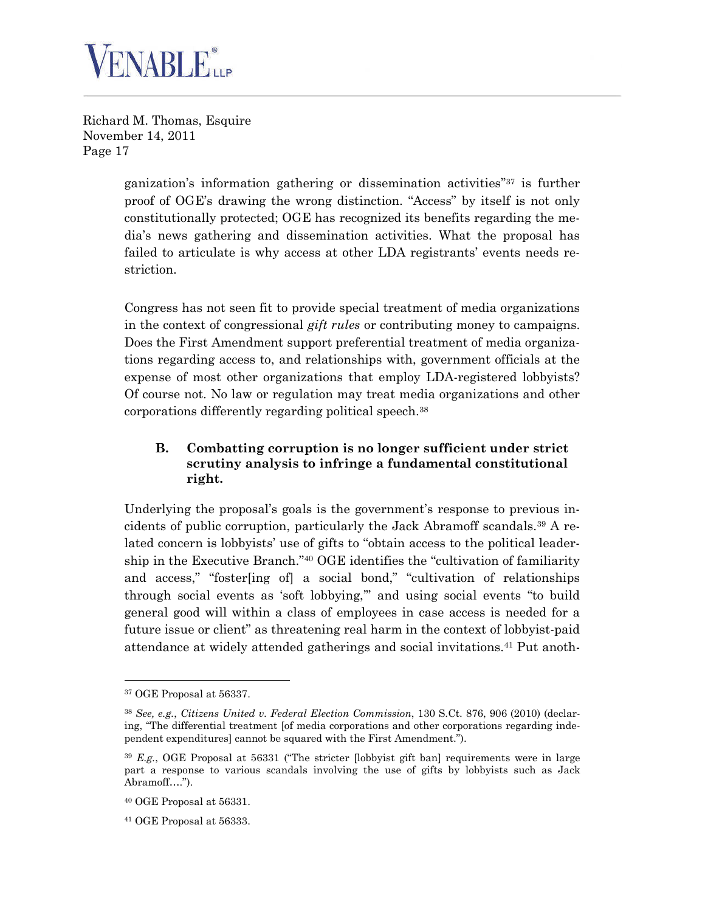

> ganization's information gathering or dissemination activities"[37](#page-16-0) is further proof of OGE's drawing the wrong distinction. "Access" by itself is not only constitutionally protected; OGE has recognized its benefits regarding the media's news gathering and dissemination activities. What the proposal has failed to articulate is why access at other LDA registrants' events needs restriction.

> Congress has not seen fit to provide special treatment of media organizations in the context of congressional *gift rules* or contributing money to campaigns. Does the First Amendment support preferential treatment of media organizations regarding access to, and relationships with, government officials at the expense of most other organizations that employ LDA-registered lobbyists? Of course not. No law or regulation may treat media organizations and other corporations differently regarding political speech.[38](#page-16-1)

# **B. Combatting corruption is no longer sufficient under strict scrutiny analysis to infringe a fundamental constitutional right.**

Underlying the proposal's goals is the government's response to previous incidents of public corruption, particularly the Jack Abramoff scandals.[39](#page-16-2) A related concern is lobbyists' use of gifts to "obtain access to the political leadership in the Executive Branch."[40](#page-16-3) OGE identifies the "cultivation of familiarity and access," "foster[ing of] a social bond," "cultivation of relationships through social events as 'soft lobbying,'" and using social events "to build general good will within a class of employees in case access is needed for a future issue or client" as threatening real harm in the context of lobbyist-paid attendance at widely attended gatherings and social invitations.[41](#page-16-4) Put anoth-

<span id="page-16-0"></span><sup>37</sup> OGE Proposal at 56337.

<span id="page-16-1"></span><sup>38</sup> *See, e.g.*, *Citizens United v. Federal Election Commission*, 130 S.Ct. 876, 906 (2010) (declaring, "The differential treatment [of media corporations and other corporations regarding independent expenditures] cannot be squared with the First Amendment.").

<span id="page-16-2"></span><sup>39</sup> *E.g.*, OGE Proposal at 56331 ("The stricter [lobbyist gift ban] requirements were in large part a response to various scandals involving the use of gifts by lobbyists such as Jack Abramoff….").

<span id="page-16-3"></span><sup>40</sup> OGE Proposal at 56331.

<span id="page-16-4"></span><sup>41</sup> OGE Proposal at 56333.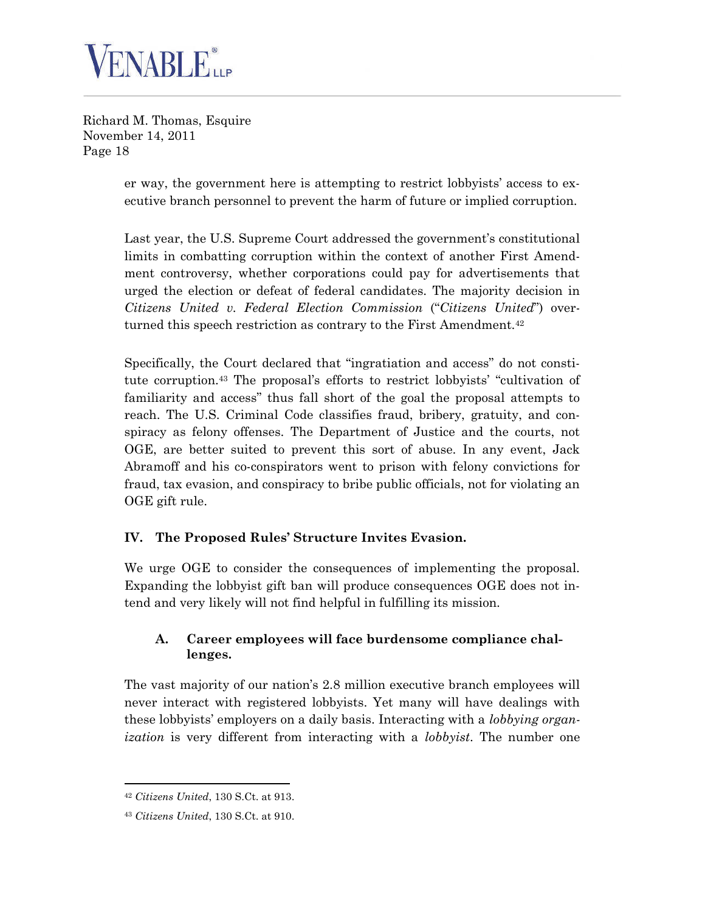

> er way, the government here is attempting to restrict lobbyists' access to executive branch personnel to prevent the harm of future or implied corruption.

> Last year, the U.S. Supreme Court addressed the government's constitutional limits in combatting corruption within the context of another First Amendment controversy, whether corporations could pay for advertisements that urged the election or defeat of federal candidates. The majority decision in *Citizens United v. Federal Election Commission* ("*Citizens United*") over-turned this speech restriction as contrary to the First Amendment.<sup>[42](#page-17-0)</sup>

> Specifically, the Court declared that "ingratiation and access" do not constitute corruption.[43](#page-17-1) The proposal's efforts to restrict lobbyists' "cultivation of familiarity and access" thus fall short of the goal the proposal attempts to reach. The U.S. Criminal Code classifies fraud, bribery, gratuity, and conspiracy as felony offenses. The Department of Justice and the courts, not OGE, are better suited to prevent this sort of abuse. In any event, Jack Abramoff and his co-conspirators went to prison with felony convictions for fraud, tax evasion, and conspiracy to bribe public officials, not for violating an OGE gift rule.

# **IV. The Proposed Rules' Structure Invites Evasion.**

We urge OGE to consider the consequences of implementing the proposal. Expanding the lobbyist gift ban will produce consequences OGE does not intend and very likely will not find helpful in fulfilling its mission.

#### **A. Career employees will face burdensome compliance challenges.**

The vast majority of our nation's 2.8 million executive branch employees will never interact with registered lobbyists. Yet many will have dealings with these lobbyists' employers on a daily basis. Interacting with a *lobbying organization* is very different from interacting with a *lobbyist*. The number one

<span id="page-17-0"></span><sup>42</sup> *Citizens United*, 130 S.Ct. at 913.

<span id="page-17-1"></span><sup>43</sup> *Citizens United*, 130 S.Ct. at 910.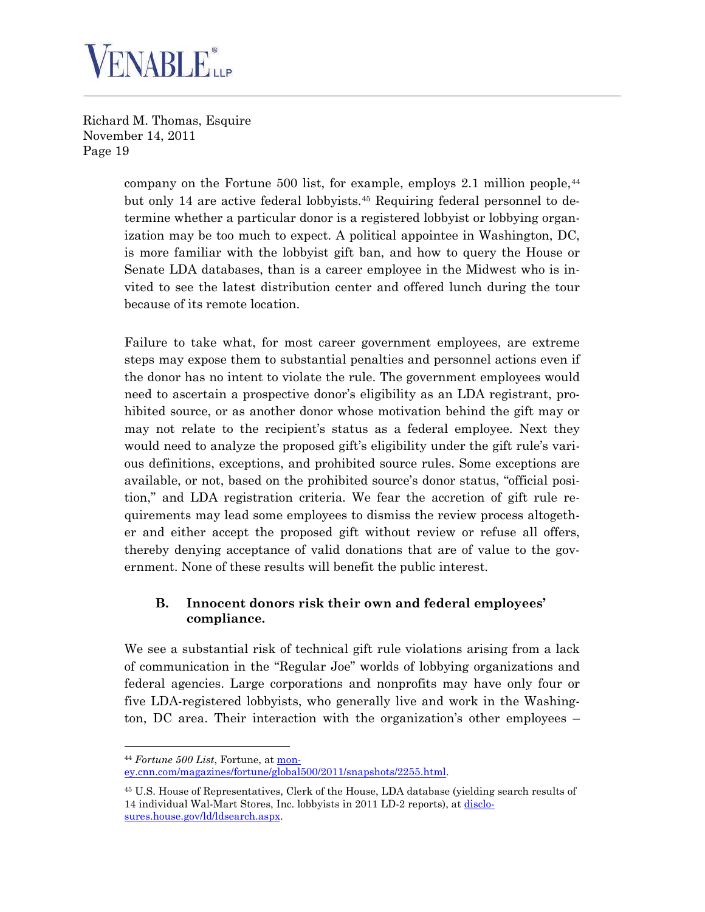

> company on the Fortune 500 list, for example, employs 2.1 million people,  $44$ but only 14 are active federal lobbyists.[45](#page-18-1) Requiring federal personnel to determine whether a particular donor is a registered lobbyist or lobbying organization may be too much to expect. A political appointee in Washington, DC, is more familiar with the lobbyist gift ban, and how to query the House or Senate LDA databases, than is a career employee in the Midwest who is invited to see the latest distribution center and offered lunch during the tour because of its remote location.

> Failure to take what, for most career government employees, are extreme steps may expose them to substantial penalties and personnel actions even if the donor has no intent to violate the rule. The government employees would need to ascertain a prospective donor's eligibility as an LDA registrant, prohibited source, or as another donor whose motivation behind the gift may or may not relate to the recipient's status as a federal employee. Next they would need to analyze the proposed gift's eligibility under the gift rule's various definitions, exceptions, and prohibited source rules. Some exceptions are available, or not, based on the prohibited source's donor status, "official position," and LDA registration criteria. We fear the accretion of gift rule requirements may lead some employees to dismiss the review process altogether and either accept the proposed gift without review or refuse all offers, thereby denying acceptance of valid donations that are of value to the government. None of these results will benefit the public interest.

#### **B. Innocent donors risk their own and federal employees' compliance.**

We see a substantial risk of technical gift rule violations arising from a lack of communication in the "Regular Joe" worlds of lobbying organizations and federal agencies. Large corporations and nonprofits may have only four or five LDA-registered lobbyists, who generally live and work in the Washington, DC area. Their interaction with the organization's other employees –

<span id="page-18-0"></span><sup>44</sup> *Fortune 500 List*, Fortune, at mon-

ey.cnn.com/magazines/fortune/global500/2011/snapshots/2255.html.

<span id="page-18-1"></span><sup>45</sup> U.S. House of Representatives, Clerk of the House, LDA database (yielding search results of 14 individual Wal-Mart Stores, Inc. lobbyists in 2011 LD-2 reports), at disclosures.house.gov/ld/ldsearch.aspx.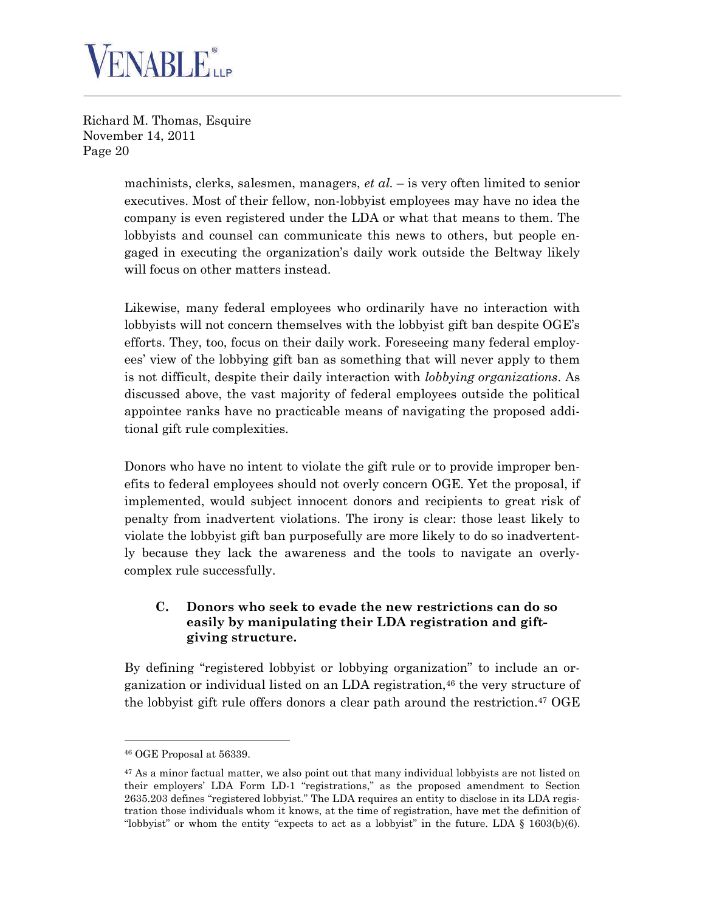

> machinists, clerks, salesmen, managers, *et al.* – is very often limited to senior executives. Most of their fellow, non-lobbyist employees may have no idea the company is even registered under the LDA or what that means to them. The lobbyists and counsel can communicate this news to others, but people engaged in executing the organization's daily work outside the Beltway likely will focus on other matters instead.

> Likewise, many federal employees who ordinarily have no interaction with lobbyists will not concern themselves with the lobbyist gift ban despite OGE's efforts. They, too, focus on their daily work. Foreseeing many federal employees' view of the lobbying gift ban as something that will never apply to them is not difficult, despite their daily interaction with *lobbying organizations*. As discussed above, the vast majority of federal employees outside the political appointee ranks have no practicable means of navigating the proposed additional gift rule complexities.

> Donors who have no intent to violate the gift rule or to provide improper benefits to federal employees should not overly concern OGE. Yet the proposal, if implemented, would subject innocent donors and recipients to great risk of penalty from inadvertent violations. The irony is clear: those least likely to violate the lobbyist gift ban purposefully are more likely to do so inadvertently because they lack the awareness and the tools to navigate an overlycomplex rule successfully.

#### **C. Donors who seek to evade the new restrictions can do so easily by manipulating their LDA registration and giftgiving structure.**

By defining "registered lobbyist or lobbying organization" to include an organization or individual listed on an LDA registration,[46](#page-19-0) the very structure of the lobbyist gift rule offers donors a clear path around the restriction.[47](#page-19-1) OGE

<span id="page-19-0"></span><sup>46</sup> OGE Proposal at 56339.

<span id="page-19-1"></span><sup>&</sup>lt;sup>47</sup> As a minor factual matter, we also point out that many individual lobbyists are not listed on their employers' LDA Form LD-1 "registrations," as the proposed amendment to Section 2635.203 defines "registered lobbyist." The LDA requires an entity to disclose in its LDA registration those individuals whom it knows, at the time of registration, have met the definition of "lobbyist" or whom the entity "expects to act as a lobbyist" in the future. LDA  $\S$  1603(b)(6).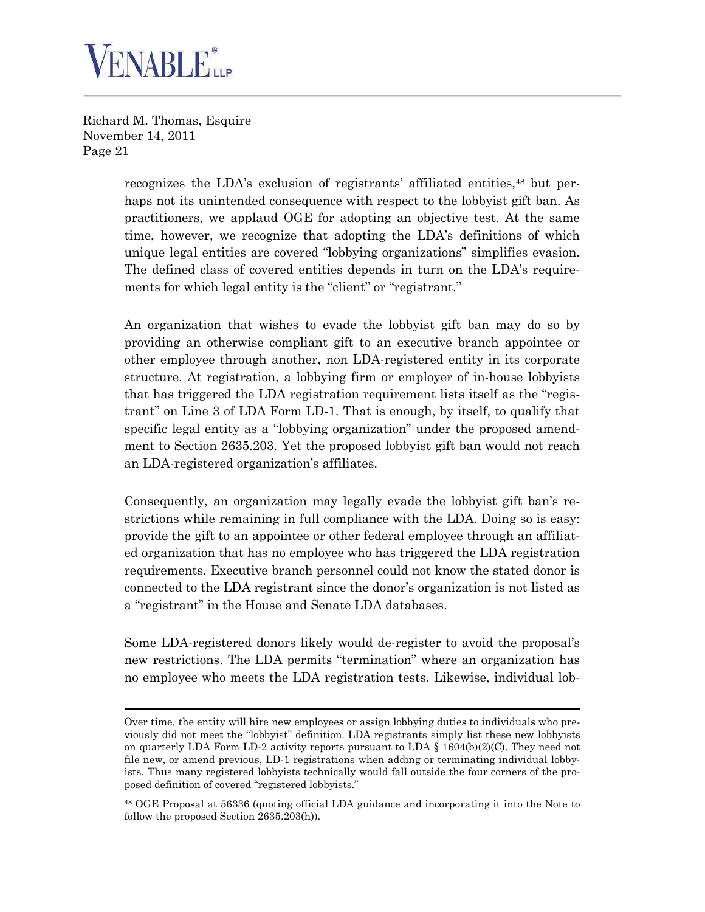

> recognizes the LDA's exclusion of registrants' affiliated entities,<sup>[48](#page-20-0)</sup> but perhaps not its unintended consequence with respect to the lobbyist gift ban. As practitioners, we applaud OGE for adopting an objective test. At the same time, however, we recognize that adopting the LDA's definitions of which unique legal entities are covered "lobbying organizations" simplifies evasion. The defined class of covered entities depends in turn on the LDA's requirements for which legal entity is the "client" or "registrant."

> An organization that wishes to evade the lobbyist gift ban may do so by providing an otherwise compliant gift to an executive branch appointee or other employee through another, non LDA-registered entity in its corporate structure. At registration, a lobbying firm or employer of in-house lobbyists that has triggered the LDA registration requirement lists itself as the "registrant" on Line 3 of LDA Form LD-1. That is enough, by itself, to qualify that specific legal entity as a "lobbying organization" under the proposed amendment to Section 2635.203. Yet the proposed lobbyist gift ban would not reach an LDA-registered organization's affiliates.

> Consequently, an organization may legally evade the lobbyist gift ban's restrictions while remaining in full compliance with the LDA. Doing so is easy: provide the gift to an appointee or other federal employee through an affiliated organization that has no employee who has triggered the LDA registration requirements. Executive branch personnel could not know the stated donor is connected to the LDA registrant since the donor's organization is not listed as a "registrant" in the House and Senate LDA databases.

> Some LDA-registered donors likely would de-register to avoid the proposal's new restrictions. The LDA permits "termination" where an organization has no employee who meets the LDA registration tests. Likewise, individual lob-

Over time, the entity will hire new employees or assign lobbying duties to individuals who previously did not meet the "lobbyist" definition. LDA registrants simply list these new lobbyists on quarterly LDA Form LD-2 activity reports pursuant to LDA  $\S$  1604(b)(2)(C). They need not file new, or amend previous, LD-1 registrations when adding or terminating individual lobbyists. Thus many registered lobbyists technically would fall outside the four corners of the proposed definition of covered "registered lobbyists."

<span id="page-20-0"></span><sup>48</sup> OGE Proposal at 56336 (quoting official LDA guidance and incorporating it into the Note to follow the proposed Section 2635.203(h)).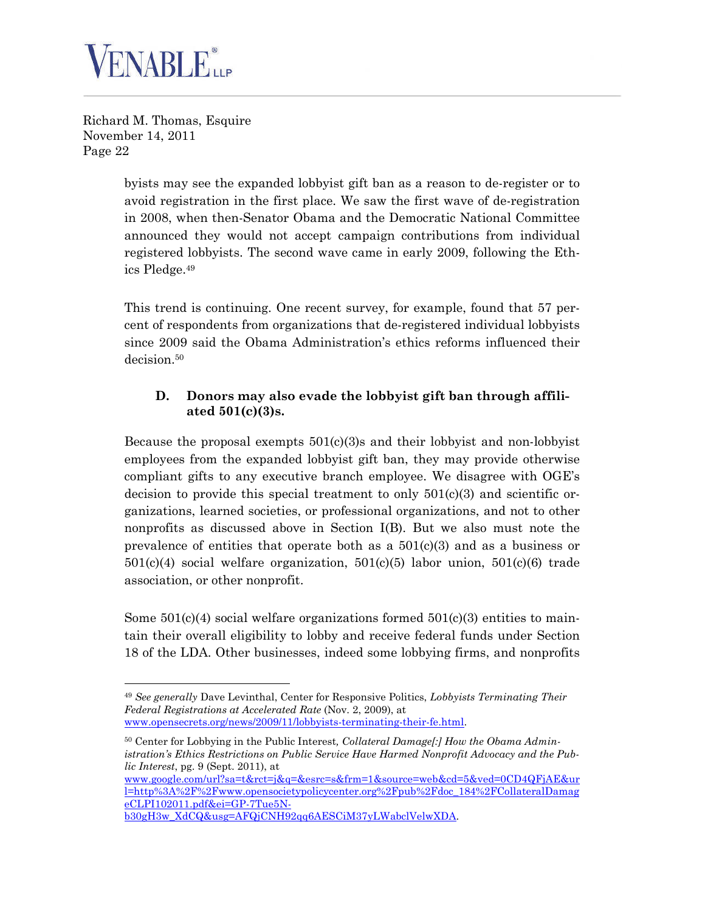

> byists may see the expanded lobbyist gift ban as a reason to de-register or to avoid registration in the first place. We saw the first wave of de-registration in 2008, when then-Senator Obama and the Democratic National Committee announced they would not accept campaign contributions from individual registered lobbyists. The second wave came in early 2009, following the Ethics Pledge.[49](#page-21-0)

> This trend is continuing. One recent survey, for example, found that 57 percent of respondents from organizations that de-registered individual lobbyists since 2009 said the Obama Administration's ethics reforms influenced their decision.[50](#page-21-1)

### **D. Donors may also evade the lobbyist gift ban through affiliated 501(c)(3)s.**

Because the proposal exempts 501(c)(3)s and their lobbyist and non-lobbyist employees from the expanded lobbyist gift ban, they may provide otherwise compliant gifts to any executive branch employee. We disagree with OGE's decision to provide this special treatment to only 501(c)(3) and scientific organizations, learned societies, or professional organizations, and not to other nonprofits as discussed above in Section I(B). But we also must note the prevalence of entities that operate both as a  $501(c)(3)$  and as a business or  $501(c)(4)$  social welfare organization,  $501(c)(5)$  labor union,  $501(c)(6)$  trade association, or other nonprofit.

Some  $501(c)(4)$  social welfare organizations formed  $501(c)(3)$  entities to maintain their overall eligibility to lobby and receive federal funds under Section 18 of the LDA. Other businesses, indeed some lobbying firms, and nonprofits

b30gH3w\_XdCQ&usg=AFQjCNH92qq6AESCiM37yLWabclVelwXDA.

<span id="page-21-0"></span><sup>49</sup> *See generally* Dave Levinthal, Center for Responsive Politics, *Lobbyists Terminating Their Federal Registrations at Accelerated Rate* (Nov. 2, 2009), at www.opensecrets.org/news/2009/11/lobbyists-terminating-their-fe.html.

<span id="page-21-1"></span><sup>50</sup> Center for Lobbying in the Public Interest*, Collateral Damage[:] How the Obama Administration's Ethics Restrictions on Public Service Have Harmed Nonprofit Advocacy and the Public Interest*, pg. 9 (Sept. 2011), at

www.google.com/url?sa=t&rct=j&q=&esrc=s&frm=1&source=web&cd=5&ved=0CD4QFjAE&ur l=http%3A%2F%2Fwww.opensocietypolicycenter.org%2Fpub%2Fdoc\_184%2FCollateralDamag eCLPI102011.pdf&ei=GP-7Tue5N-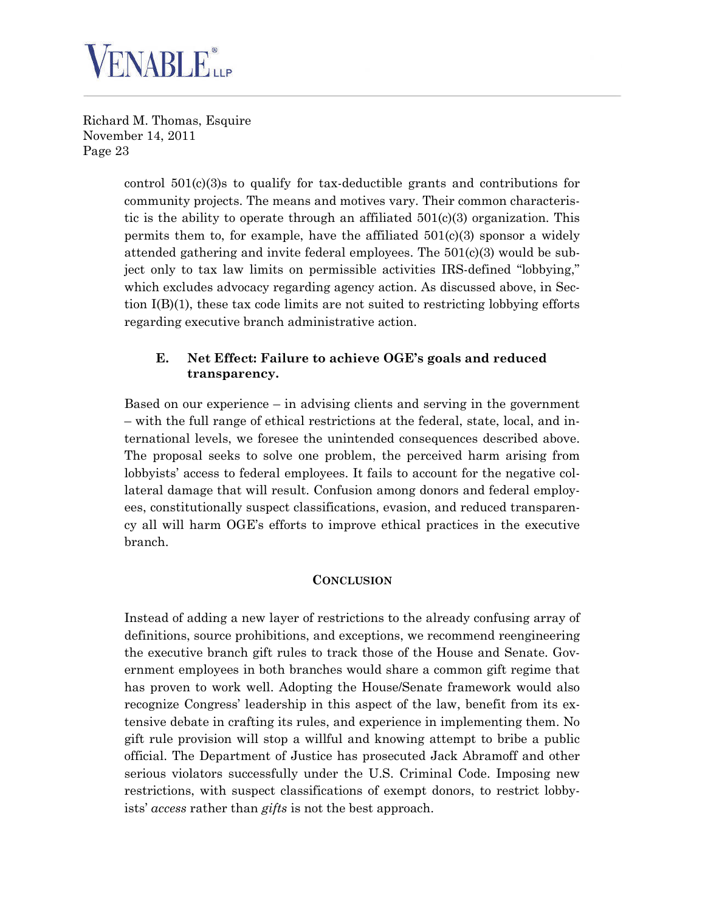

> control 501(c)(3)s to qualify for tax-deductible grants and contributions for community projects. The means and motives vary. Their common characteristic is the ability to operate through an affiliated  $501(c)(3)$  organization. This permits them to, for example, have the affiliated  $501(c)(3)$  sponsor a widely attended gathering and invite federal employees. The  $501(c)(3)$  would be subject only to tax law limits on permissible activities IRS-defined "lobbying," which excludes advocacy regarding agency action. As discussed above, in Section  $I(B)(1)$ , these tax code limits are not suited to restricting lobbying efforts regarding executive branch administrative action.

#### **E. Net Effect: Failure to achieve OGE's goals and reduced transparency.**

Based on our experience – in advising clients and serving in the government – with the full range of ethical restrictions at the federal, state, local, and international levels, we foresee the unintended consequences described above. The proposal seeks to solve one problem, the perceived harm arising from lobbyists' access to federal employees. It fails to account for the negative collateral damage that will result. Confusion among donors and federal employees, constitutionally suspect classifications, evasion, and reduced transparency all will harm OGE's efforts to improve ethical practices in the executive branch.

#### **CONCLUSION**

Instead of adding a new layer of restrictions to the already confusing array of definitions, source prohibitions, and exceptions, we recommend reengineering the executive branch gift rules to track those of the House and Senate. Government employees in both branches would share a common gift regime that has proven to work well. Adopting the House/Senate framework would also recognize Congress' leadership in this aspect of the law, benefit from its extensive debate in crafting its rules, and experience in implementing them. No gift rule provision will stop a willful and knowing attempt to bribe a public official. The Department of Justice has prosecuted Jack Abramoff and other serious violators successfully under the U.S. Criminal Code. Imposing new restrictions, with suspect classifications of exempt donors, to restrict lobbyists' *access* rather than *gifts* is not the best approach.